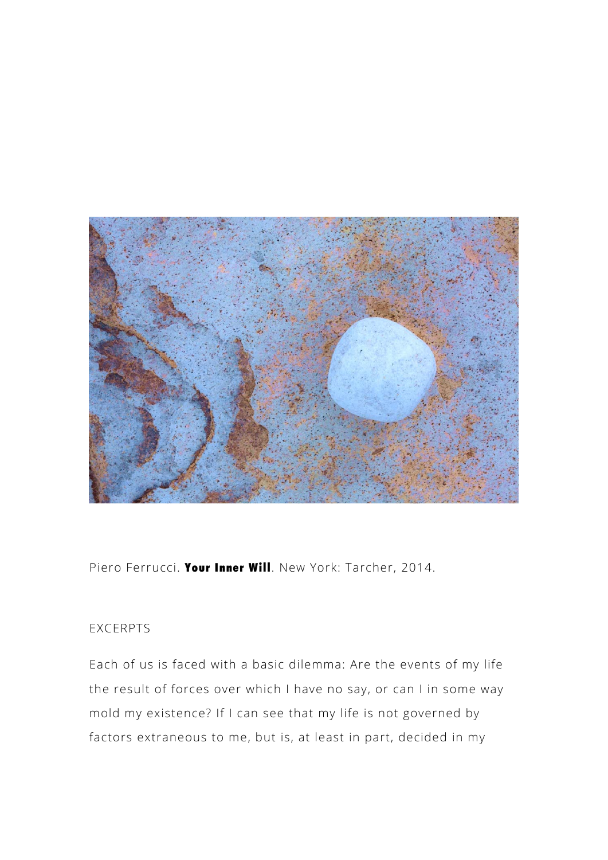

Piero Ferrucci. Your Inner Will. New York: Tarcher, 2014.

## EXCERPTS

Each of us is faced with a basic dilemma: Are the events of my life the result of forces over which I have no say, or can I in some way mold my existence? If I can see that my life is not governed by factors extraneous to me, but is, at least in part, decided in my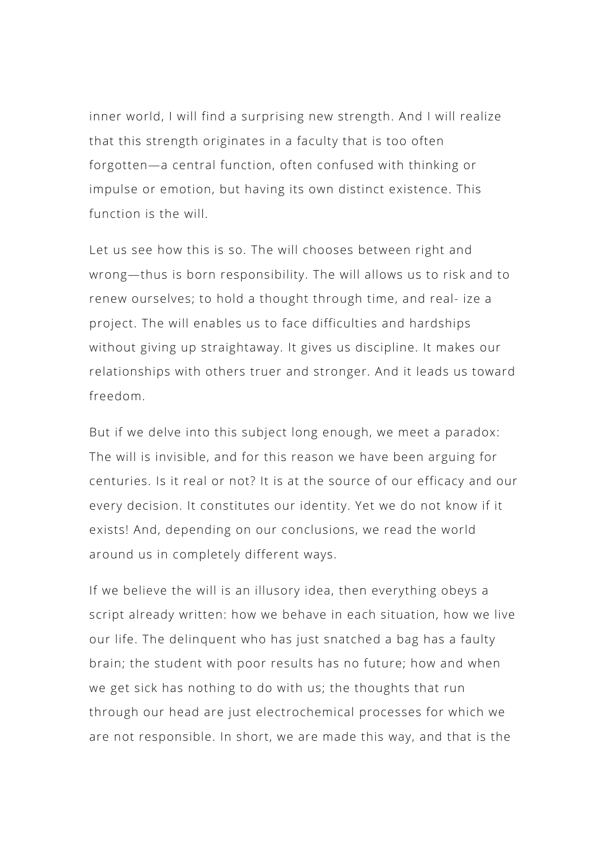inner world, I will find a surprising new strength. And I will realize that this strength originates in a faculty that is too often forgotten—a central function, often confused with thinking or impulse or emotion, but having its own distinct existence. This function is the will.

Let us see how this is so. The will chooses between right and wrong—thus is born responsibility. The will allows us to risk and to renew ourselves; to hold a thought through time, and real- ize a project. The will enables us to face difficulties and hardships without giving up straightaway. It gives us discipline. It makes our relationships with others truer and stronger. And it leads us toward freedom.

But if we delve into this subject long enough, we meet a paradox: The will is invisible, and for this reason we have been arguing for centuries. Is it real or not? It is at the source of our efficacy and our every decision. It constitutes our identity. Yet we do not know if it exists! And, depending on our conclusions, we read the world around us in completely different ways.

If we believe the will is an illusory idea, then everything obeys a script already written: how we behave in each situation, how we live our life. The delinquent who has just snatched a bag has a faulty brain; the student with poor results has no future; how and when we get sick has nothing to do with us; the thoughts that run through our head are just electrochemical processes for which we are not responsible. In short, we are made this way, and that is the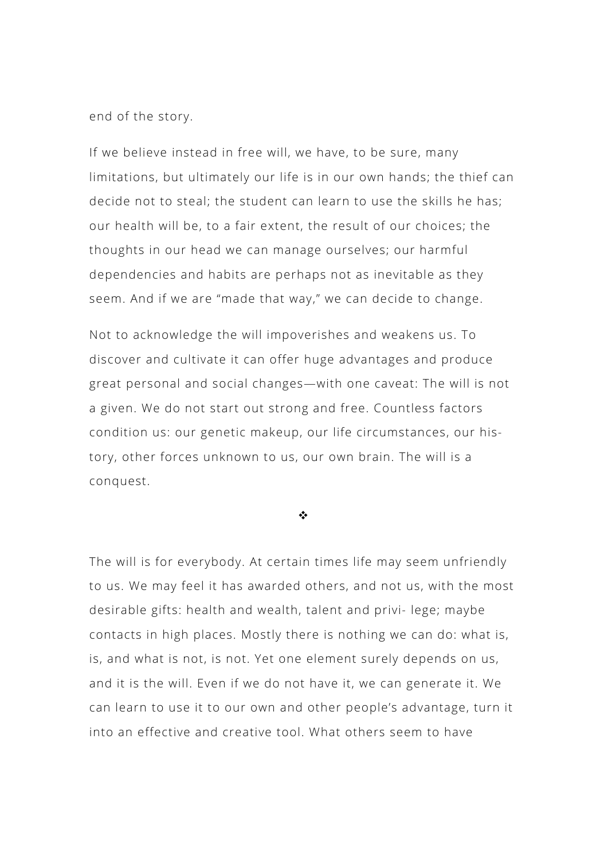end of the story.

If we believe instead in free will, we have, to be sure, many limitations, but ultimately our life is in our own hands; the thief can decide not to steal; the student can learn to use the skills he has; our health will be, to a fair extent, the result of our choices; the thoughts in our head we can manage ourselves; our harmful dependencies and habits are perhaps not as inevitable as they seem. And if we are "made that way," we can decide to change.

Not to acknowledge the will impoverishes and weakens us. To discover and cultivate it can offer huge advantages and produce great personal and social changes—with one caveat: The will is not a given. We do not start out strong and free. Countless factors condition us: our genetic makeup, our life circumstances, our history, other forces unknown to us, our own brain. The will is a conquest.

## $\bullet^{\bullet}_{\bullet} \bullet$

The will is for everybody. At certain times life may seem unfriendly to us. We may feel it has awarded others, and not us, with the most desirable gifts: health and wealth, talent and privi- lege; maybe contacts in high places. Mostly there is nothing we can do: what is, is, and what is not, is not. Yet one element surely depends on us, and it is the will. Even if we do not have it, we can generate it. We can learn to use it to our own and other people's advantage, turn it into an effective and creative tool. What others seem to have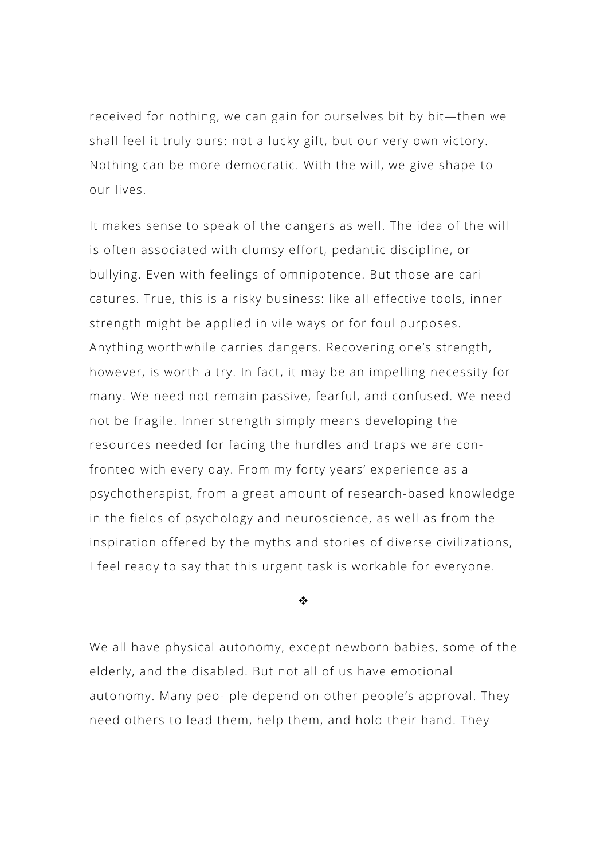received for nothing, we can gain for ourselves bit by bit—then we shall feel it truly ours: not a lucky gift, but our very own victory. Nothing can be more democratic. With the will, we give shape to our lives.

It makes sense to speak of the dangers as well. The idea of the will is often associated with clumsy effort, pedantic discipline, or bullying. Even with feelings of omnipotence. But those are cari catures. True, this is a risky business: like all effective tools, inner strength might be applied in vile ways or for foul purposes. Anything worthwhile carries dangers. Recovering one's strength, however, is worth a try. In fact, it may be an impelling necessity for many. We need not remain passive, fearful, and confused. We need not be fragile. Inner strength simply means developing the resources needed for facing the hurdles and traps we are confronted with every day. From my forty years' experience as a psychotherapist, from a great amount of research-based knowledge in the fields of psychology and neuroscience, as well as from the inspiration offered by the myths and stories of diverse civilizations, I feel ready to say that this urgent task is workable for everyone.

## $\frac{1}{2}$

We all have physical autonomy, except newborn babies, some of the elderly, and the disabled. But not all of us have emotional autonomy. Many peo- ple depend on other people's approval. They need others to lead them, help them, and hold their hand. They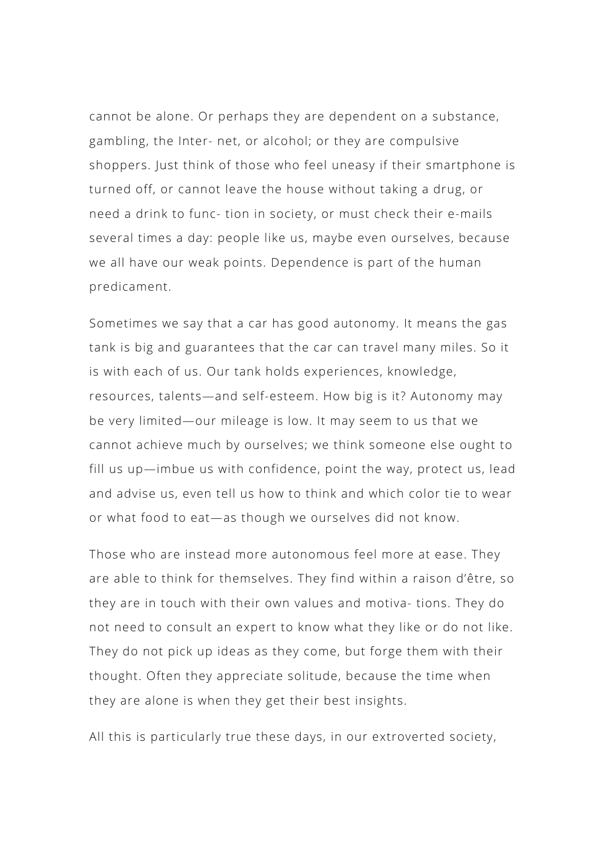cannot be alone. Or perhaps they are dependent on a substance, gambling, the Inter- net, or alcohol; or they are compulsive shoppers. Just think of those who feel uneasy if their smartphone is turned off, or cannot leave the house without taking a drug, or need a drink to func- tion in society, or must check their e-mails several times a day: people like us, maybe even ourselves, because we all have our weak points. Dependence is part of the human predicament.

Sometimes we say that a car has good autonomy. It means the gas tank is big and guarantees that the car can travel many miles. So it is with each of us. Our tank holds experiences, knowledge, resources, talents—and self-esteem. How big is it? Autonomy may be very limited—our mileage is low. It may seem to us that we cannot achieve much by ourselves; we think someone else ought to fill us up—imbue us with confidence, point the way, protect us, lead and advise us, even tell us how to think and which color tie to wear or what food to eat—as though we ourselves did not know.

Those who are instead more autonomous feel more at ease. They are able to think for themselves. They find within a raison d'être, so they are in touch with their own values and motiva- tions. They do not need to consult an expert to know what they like or do not like. They do not pick up ideas as they come, but forge them with their thought. Often they appreciate solitude, because the time when they are alone is when they get their best insights.

All this is particularly true these days, in our extroverted society,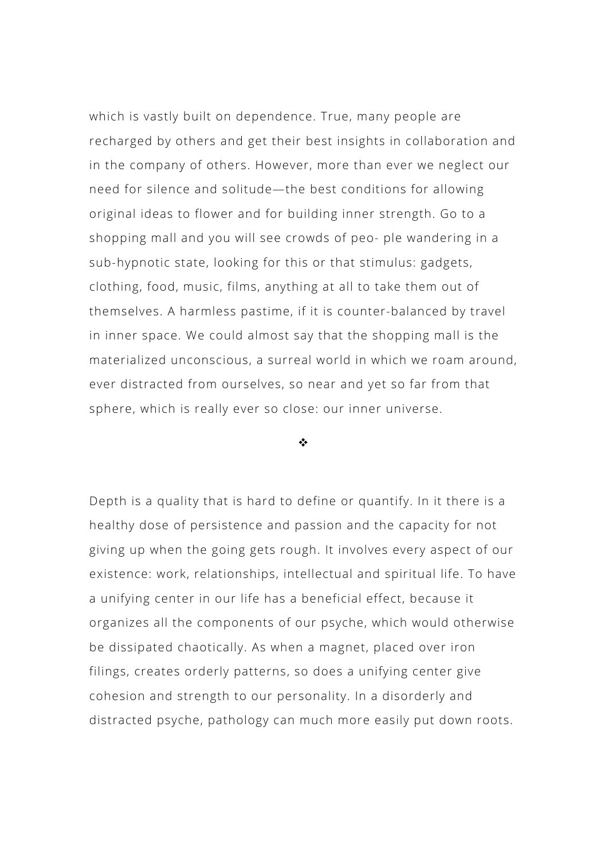which is vastly built on dependence. True, many people are recharged by others and get their best insights in collaboration and in the company of others. However, more than ever we neglect our need for silence and solitude—the best conditions for allowing original ideas to flower and for building inner strength. Go to a shopping mall and you will see crowds of peo- ple wandering in a sub-hypnotic state, looking for this or that stimulus: gadgets, clothing, food, music, films, anything at all to take them out of themselves. A harmless pastime, if it is counter-balanced by travel in inner space. We could almost say that the shopping mall is the materialized unconscious, a surreal world in which we roam around, ever distracted from ourselves, so near and yet so far from that sphere, which is really ever so close: our inner universe.

## $\frac{1}{2}$

Depth is a quality that is hard to define or quantify. In it there is a healthy dose of persistence and passion and the capacity for not giving up when the going gets rough. It involves every aspect of our existence: work, relationships, intellectual and spiritual life. To have a unifying center in our life has a beneficial effect, because it organizes all the components of our psyche, which would otherwise be dissipated chaotically. As when a magnet, placed over iron filings, creates orderly patterns, so does a unifying center give cohesion and strength to our personality. In a disorderly and distracted psyche, pathology can much more easily put down roots.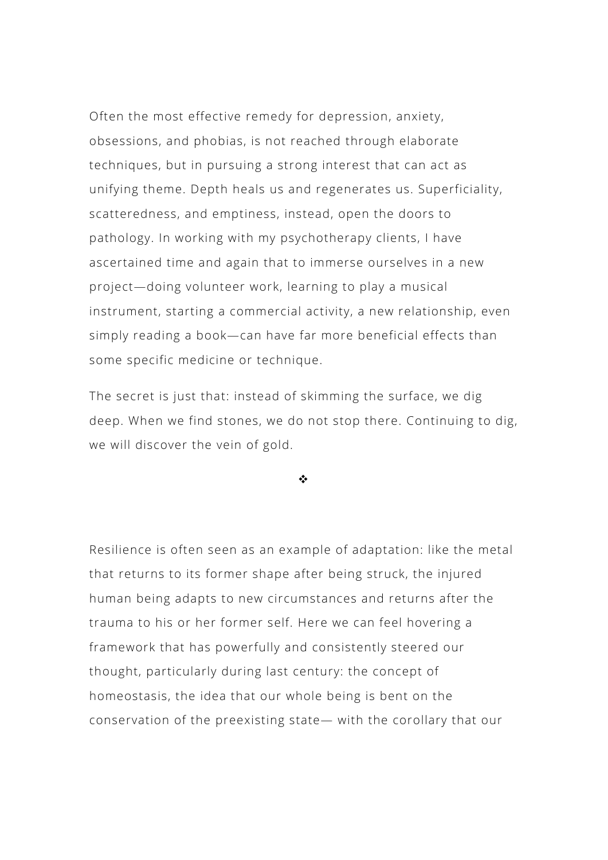Often the most effective remedy for depression, anxiety, obsessions, and phobias, is not reached through elaborate techniques, but in pursuing a strong interest that can act as unifying theme. Depth heals us and regenerates us. Superficiality, scatteredness, and emptiness, instead, open the doors to pathology. In working with my psychotherapy clients, I have ascertained time and again that to immerse ourselves in a new project—doing volunteer work, learning to play a musical instrument, starting a commercial activity, a new relationship, even simply reading a book—can have far more beneficial effects than some specific medicine or technique.

The secret is just that: instead of skimming the surface, we dig deep. When we find stones, we do not stop there. Continuing to dig, we will discover the vein of gold.

❖

Resilience is often seen as an example of adaptation: like the metal that returns to its former shape after being struck, the injured human being adapts to new circumstances and returns after the trauma to his or her former self. Here we can feel hovering a framework that has powerfully and consistently steered our thought, particularly during last century: the concept of homeostasis, the idea that our whole being is bent on the conservation of the preexisting state— with the corollary that our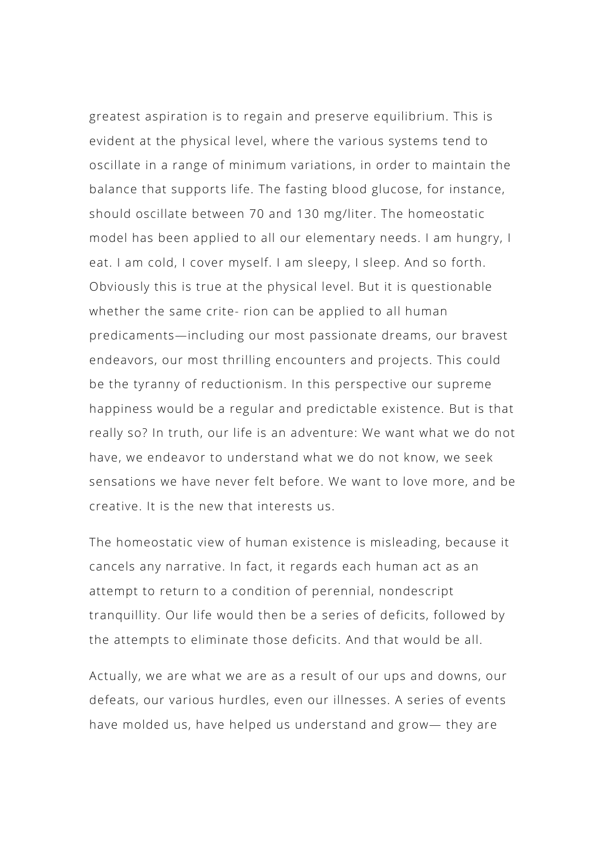greatest aspiration is to regain and preserve equilibrium. This is evident at the physical level, where the various systems tend to oscillate in a range of minimum variations, in order to maintain the balance that supports life. The fasting blood glucose, for instance, should oscillate between 70 and 130 mg/liter. The homeostatic model has been applied to all our elementary needs. I am hungry, I eat. I am cold, I cover myself. I am sleepy, I sleep. And so forth. Obviously this is true at the physical level. But it is questionable whether the same crite- rion can be applied to all human predicaments—including our most passionate dreams, our bravest endeavors, our most thrilling encounters and projects. This could be the tyranny of reductionism. In this perspective our supreme happiness would be a regular and predictable existence. But is that really so? In truth, our life is an adventure: We want what we do not have, we endeavor to understand what we do not know, we seek sensations we have never felt before. We want to love more, and be creative. It is the new that interests us.

The homeostatic view of human existence is misleading, because it cancels any narrative. In fact, it regards each human act as an attempt to return to a condition of perennial, nondescript tranquillity. Our life would then be a series of deficits, followed by the attempts to eliminate those deficits. And that would be all.

Actually, we are what we are as a result of our ups and downs, our defeats, our various hurdles, even our illnesses. A series of events have molded us, have helped us understand and grow— they are